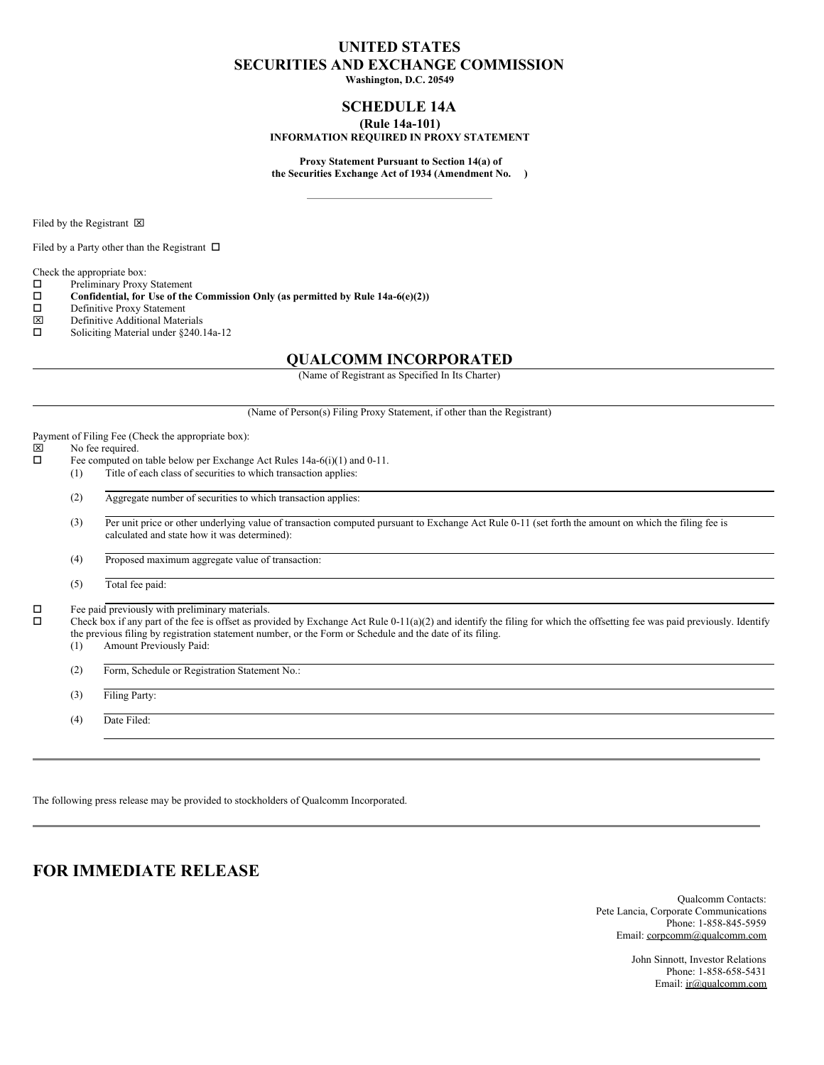# **UNITED STATES SECURITIES AND EXCHANGE COMMISSION**

**Washington, D.C. 20549**

# **SCHEDULE 14A**

## **(Rule 14a-101)**

## **INFORMATION REQUIRED IN PROXY STATEMENT**

**Proxy Statement Pursuant to Section 14(a) of the Securities Exchange Act of 1934 (Amendment No. )**

Filed by the Registrant  $\boxtimes$ 

Filed by a Party other than the Registrant  $\Box$ 

Check the appropriate box:

- $\square$  Preliminary Proxy Statement<br> $\square$  Confidential, for Use of the
- **Confidential, for** Use of the Commission Only (as permitted by Rule 14a-6(e)(2))  $\Box$  Definitive Proxy Statement
- Definitive Proxy Statement<br> **EX** Definitive Additional Mater
- $\boxtimes$  Definitive Additional Materials<br>  $\square$  Soliciting Material under \$240
- Soliciting Material under §240.14a-12

# **QUALCOMM INCORPORATED**

(Name of Registrant as Specified In Its Charter)

(Name of Person(s) Filing Proxy Statement, if other than the Registrant)

Payment of Filing Fee (Check the appropriate box):<br> $|\overline{\mathbf{x}}|$  No fee required.

# $\boxtimes$  No fee required.<br> $\Box$  Fee computed or

- Fee computed on table below per Exchange Act Rules 14a-6(i)(1) and 0-11.
- (1) Title of each class of securities to which transaction applies:
- (2) Aggregate number of securities to which transaction applies:
- (3) Per unit price or other underlying value of transaction computed pursuant to Exchange Act Rule 0-11 (set forth the amount on which the filing fee is calculated and state how it was determined):

(4) Proposed maximum aggregate value of transaction:

(5) Total fee paid:

 $\Box$  Fee paid previously with preliminary materials.<br> $\Box$  Check box if any part of the fee is offset as prov

o Check box if any part of the fee is offset as provided by Exchange Act Rule 0-11(a)(2) and identify the filing for which the offsetting fee was paid previously. Identify the previous filing by registration statement number, or the Form or Schedule and the date of its filing.

(1) Amount Previously Paid:

(2) Form, Schedule or Registration Statement No.:

(3) Filing Party:

(4) Date Filed:

The following press release may be provided to stockholders of Qualcomm Incorporated.

# **FOR IMMEDIATE RELEASE**

Qualcomm Contacts: Pete Lancia, Corporate Communications Phone: 1-858-845-5959 Email: corpcomm@qualcomm.com

> John Sinnott, Investor Relations Phone: 1-858-658-5431 Email: ir@qualcomm.com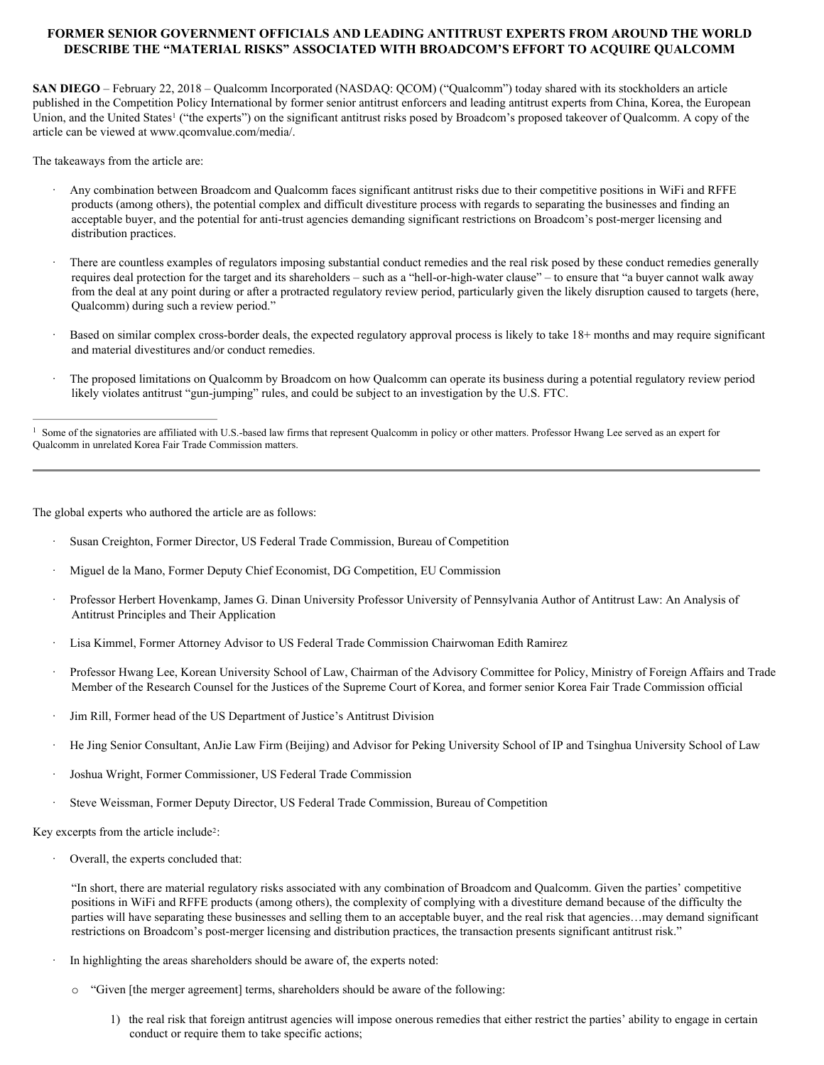# **FORMER SENIOR GOVERNMENT OFFICIALS AND LEADING ANTITRUST EXPERTS FROM AROUND THE WORLD DESCRIBE THE "MATERIAL RISKS" ASSOCIATED WITH BROADCOM'S EFFORT TO ACQUIRE QUALCOMM**

**SAN DIEGO** – February 22, 2018 – Qualcomm Incorporated (NASDAQ: QCOM) ("Qualcomm") today shared with its stockholders an article published in the Competition Policy International by former senior antitrust enforcers and leading antitrust experts from China, Korea, the European Union, and the United States<sup>1</sup> ("the experts") on the significant antitrust risks posed by Broadcom's proposed takeover of Qualcomm. A copy of the article can be viewed at www.qcomvalue.com/media/.

The takeaways from the article are:

- · Any combination between Broadcom and Qualcomm faces significant antitrust risks due to their competitive positions in WiFi and RFFE products (among others), the potential complex and difficult divestiture process with regards to separating the businesses and finding an acceptable buyer, and the potential for anti-trust agencies demanding significant restrictions on Broadcom's post-merger licensing and distribution practices.
- · There are countless examples of regulators imposing substantial conduct remedies and the real risk posed by these conduct remedies generally requires deal protection for the target and its shareholders – such as a "hell-or-high-water clause" – to ensure that "a buyer cannot walk away from the deal at any point during or after a protracted regulatory review period, particularly given the likely disruption caused to targets (here, Qualcomm) during such a review period."
- · Based on similar complex cross-border deals, the expected regulatory approval process is likely to take 18+ months and may require significant and material divestitures and/or conduct remedies.
- · The proposed limitations on Qualcomm by Broadcom on how Qualcomm can operate its business during a potential regulatory review period likely violates antitrust "gun-jumping" rules, and could be subject to an investigation by the U.S. FTC.

<sup>1</sup> Some of the signatories are affiliated with U.S.-based law firms that represent Qualcomm in policy or other matters. Professor Hwang Lee served as an expert for Qualcomm in unrelated Korea Fair Trade Commission matters.

The global experts who authored the article are as follows:

- Susan Creighton, Former Director, US Federal Trade Commission, Bureau of Competition
- · Miguel de la Mano, Former Deputy Chief Economist, DG Competition, EU Commission
- · Professor Herbert Hovenkamp, James G. Dinan University Professor University of Pennsylvania Author of Antitrust Law: An Analysis of Antitrust Principles and Their Application
- Lisa Kimmel, Former Attorney Advisor to US Federal Trade Commission Chairwoman Edith Ramirez
- · Professor Hwang Lee, Korean University School of Law, Chairman of the Advisory Committee for Policy, Ministry of Foreign Affairs and Trade Member of the Research Counsel for the Justices of the Supreme Court of Korea, and former senior Korea Fair Trade Commission official
- Jim Rill, Former head of the US Department of Justice's Antitrust Division
- · He Jing Senior Consultant, AnJie Law Firm (Beijing) and Advisor for Peking University School of IP and Tsinghua University School of Law
- · Joshua Wright, Former Commissioner, US Federal Trade Commission
- Steve Weissman, Former Deputy Director, US Federal Trade Commission, Bureau of Competition

Key excerpts from the article include<sup>2</sup>:

Overall, the experts concluded that:

"In short, there are material regulatory risks associated with any combination of Broadcom and Qualcomm. Given the parties' competitive positions in WiFi and RFFE products (among others), the complexity of complying with a divestiture demand because of the difficulty the parties will have separating these businesses and selling them to an acceptable buyer, and the real risk that agencies…may demand significant restrictions on Broadcom's post-merger licensing and distribution practices, the transaction presents significant antitrust risk."

- In highlighting the areas shareholders should be aware of, the experts noted:
	- o "Given [the merger agreement] terms, shareholders should be aware of the following:
		- 1) the real risk that foreign antitrust agencies will impose onerous remedies that either restrict the parties' ability to engage in certain conduct or require them to take specific actions;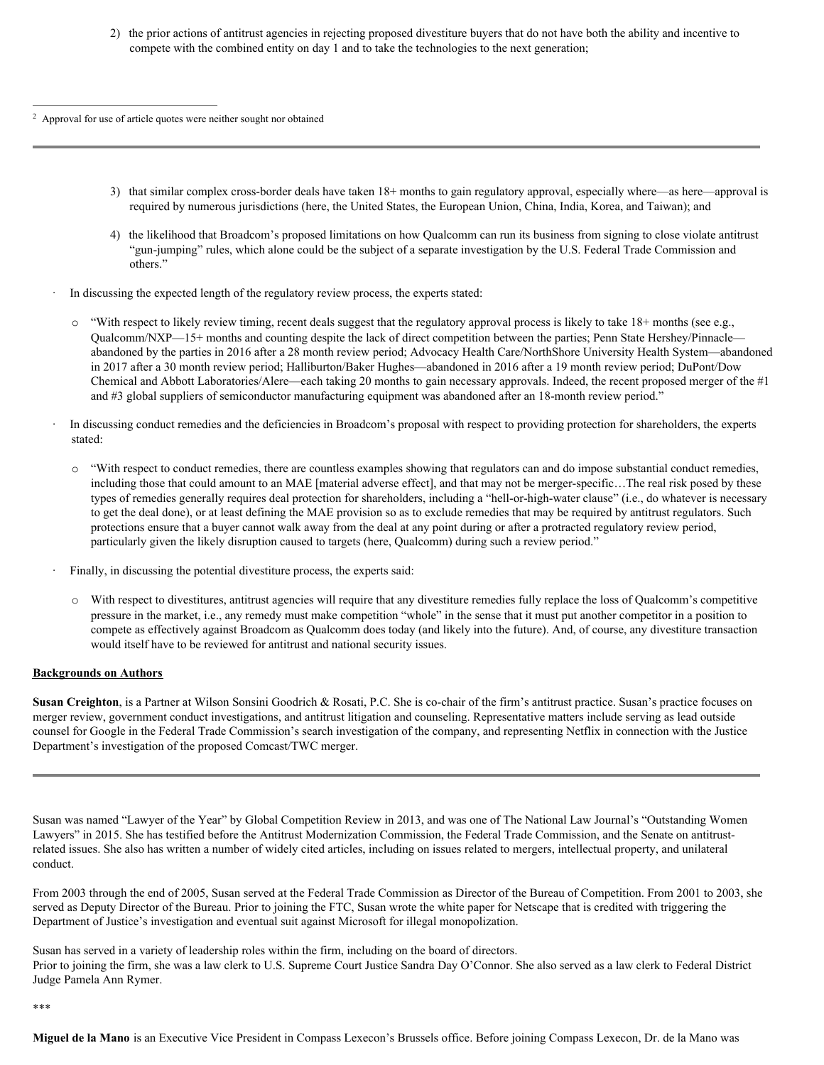2) the prior actions of antitrust agencies in rejecting proposed divestiture buyers that do not have both the ability and incentive to compete with the combined entity on day 1 and to take the technologies to the next generation;

<sup>2</sup> Approval for use of article quotes were neither sought nor obtained

- 3) that similar complex cross-border deals have taken 18+ months to gain regulatory approval, especially where—as here—approval is required by numerous jurisdictions (here, the United States, the European Union, China, India, Korea, and Taiwan); and
- 4) the likelihood that Broadcom's proposed limitations on how Qualcomm can run its business from signing to close violate antitrust "gun-jumping" rules, which alone could be the subject of a separate investigation by the U.S. Federal Trade Commission and others."
- In discussing the expected length of the regulatory review process, the experts stated:
	- $\circ$  "With respect to likely review timing, recent deals suggest that the regulatory approval process is likely to take 18+ months (see e.g., Qualcomm/NXP—15+ months and counting despite the lack of direct competition between the parties; Penn State Hershey/Pinnacle abandoned by the parties in 2016 after a 28 month review period; Advocacy Health Care/NorthShore University Health System—abandoned in 2017 after a 30 month review period; Halliburton/Baker Hughes—abandoned in 2016 after a 19 month review period; DuPont/Dow Chemical and Abbott Laboratories/Alere—each taking 20 months to gain necessary approvals. Indeed, the recent proposed merger of the #1 and #3 global suppliers of semiconductor manufacturing equipment was abandoned after an 18-month review period."
- · In discussing conduct remedies and the deficiencies in Broadcom's proposal with respect to providing protection for shareholders, the experts stated:
	- $\circ$  "With respect to conduct remedies, there are countless examples showing that regulators can and do impose substantial conduct remedies, including those that could amount to an MAE [material adverse effect], and that may not be merger-specific…The real risk posed by these types of remedies generally requires deal protection for shareholders, including a "hell-or-high-water clause" (i.e., do whatever is necessary to get the deal done), or at least defining the MAE provision so as to exclude remedies that may be required by antitrust regulators. Such protections ensure that a buyer cannot walk away from the deal at any point during or after a protracted regulatory review period, particularly given the likely disruption caused to targets (here, Qualcomm) during such a review period."
- Finally, in discussing the potential divestiture process, the experts said:
- o With respect to divestitures, antitrust agencies will require that any divestiture remedies fully replace the loss of Qualcomm's competitive pressure in the market, i.e., any remedy must make competition "whole" in the sense that it must put another competitor in a position to compete as effectively against Broadcom as Qualcomm does today (and likely into the future). And, of course, any divestiture transaction would itself have to be reviewed for antitrust and national security issues.

#### **Backgrounds on Authors**

**Susan Creighton**, is a Partner at Wilson Sonsini Goodrich & Rosati, P.C. She is co-chair of the firm's antitrust practice. Susan's practice focuses on merger review, government conduct investigations, and antitrust litigation and counseling. Representative matters include serving as lead outside counsel for Google in the Federal Trade Commission's search investigation of the company, and representing Netflix in connection with the Justice Department's investigation of the proposed Comcast/TWC merger.

Susan was named "Lawyer of the Year" by Global Competition Review in 2013, and was one of The National Law Journal's "Outstanding Women Lawyers" in 2015. She has testified before the Antitrust Modernization Commission, the Federal Trade Commission, and the Senate on antitrustrelated issues. She also has written a number of widely cited articles, including on issues related to mergers, intellectual property, and unilateral conduct.

From 2003 through the end of 2005, Susan served at the Federal Trade Commission as Director of the Bureau of Competition. From 2001 to 2003, she served as Deputy Director of the Bureau. Prior to joining the FTC, Susan wrote the white paper for Netscape that is credited with triggering the Department of Justice's investigation and eventual suit against Microsoft for illegal monopolization.

Susan has served in a variety of leadership roles within the firm, including on the board of directors. Prior to joining the firm, she was a law clerk to U.S. Supreme Court Justice Sandra Day O'Connor. She also served as a law clerk to Federal District Judge Pamela Ann Rymer.

\*\*\*

**Miguel de la Mano** is an Executive Vice President in Compass Lexecon's Brussels office. Before joining Compass Lexecon, Dr. de la Mano was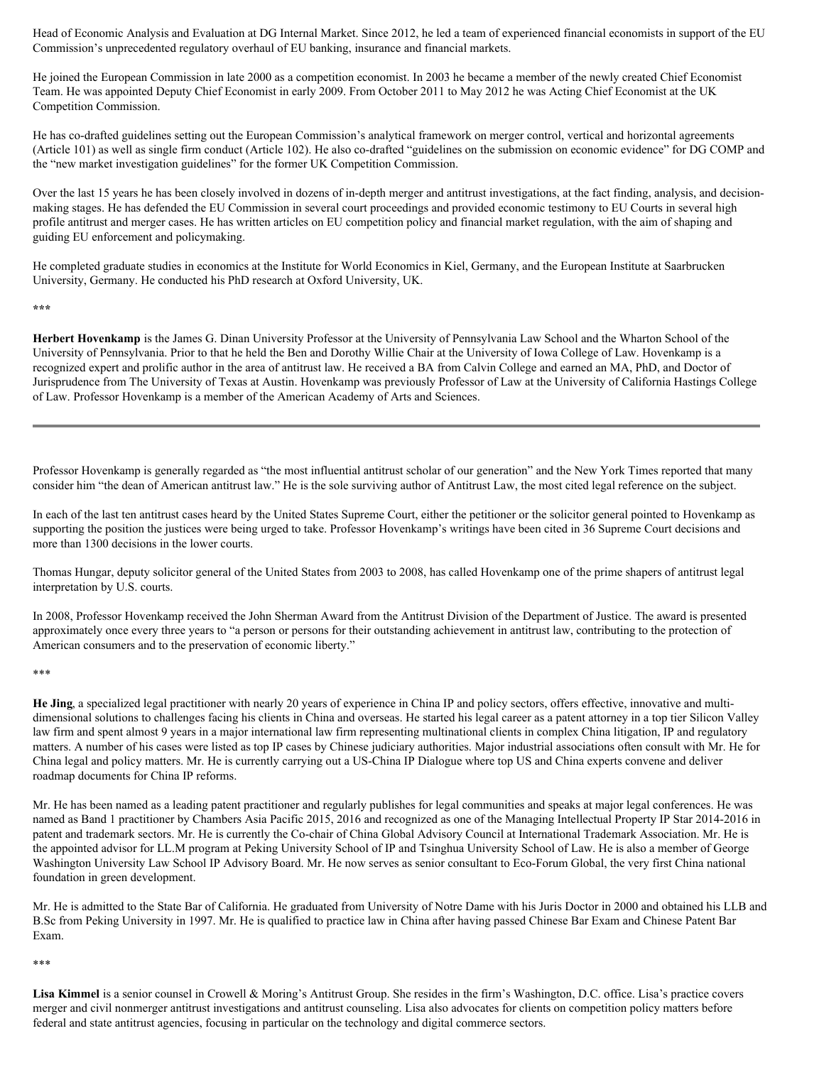Head of Economic Analysis and Evaluation at DG Internal Market. Since 2012, he led a team of experienced financial economists in support of the EU Commission's unprecedented regulatory overhaul of EU banking, insurance and financial markets.

He joined the European Commission in late 2000 as a competition economist. In 2003 he became a member of the newly created Chief Economist Team. He was appointed Deputy Chief Economist in early 2009. From October 2011 to May 2012 he was Acting Chief Economist at the UK Competition Commission.

He has co-drafted guidelines setting out the European Commission's analytical framework on merger control, vertical and horizontal agreements (Article 101) as well as single firm conduct (Article 102). He also co-drafted "guidelines on the submission on economic evidence" for DG COMP and the "new market investigation guidelines" for the former UK Competition Commission.

Over the last 15 years he has been closely involved in dozens of in-depth merger and antitrust investigations, at the fact finding, analysis, and decisionmaking stages. He has defended the EU Commission in several court proceedings and provided economic testimony to EU Courts in several high profile antitrust and merger cases. He has written articles on EU competition policy and financial market regulation, with the aim of shaping and guiding EU enforcement and policymaking.

He completed graduate studies in economics at the Institute for World Economics in Kiel, Germany, and the European Institute at Saarbrucken University, Germany. He conducted his PhD research at Oxford University, UK.

**\*\*\***

**Herbert Hovenkamp** is the James G. Dinan University Professor at the University of Pennsylvania Law School and the Wharton School of the University of Pennsylvania. Prior to that he held the Ben and Dorothy Willie Chair at the University of Iowa College of Law. Hovenkamp is a recognized expert and prolific author in the area of antitrust law. He received a BA from Calvin College and earned an MA, PhD, and Doctor of Jurisprudence from The University of Texas at Austin. Hovenkamp was previously Professor of Law at the University of California Hastings College of Law. Professor Hovenkamp is a member of the American Academy of Arts and Sciences.

Professor Hovenkamp is generally regarded as "the most influential antitrust scholar of our generation" and the New York Times reported that many consider him "the dean of American antitrust law." He is the sole surviving author of Antitrust Law, the most cited legal reference on the subject.

In each of the last ten antitrust cases heard by the United States Supreme Court, either the petitioner or the solicitor general pointed to Hovenkamp as supporting the position the justices were being urged to take. Professor Hovenkamp's writings have been cited in 36 Supreme Court decisions and more than 1300 decisions in the lower courts.

Thomas Hungar, deputy solicitor general of the United States from 2003 to 2008, has called Hovenkamp one of the prime shapers of antitrust legal interpretation by U.S. courts.

In 2008, Professor Hovenkamp received the John Sherman Award from the Antitrust Division of the Department of Justice. The award is presented approximately once every three years to "a person or persons for their outstanding achievement in antitrust law, contributing to the protection of American consumers and to the preservation of economic liberty."

\*\*\*

**He Jing**, a specialized legal practitioner with nearly 20 years of experience in China IP and policy sectors, offers effective, innovative and multidimensional solutions to challenges facing his clients in China and overseas. He started his legal career as a patent attorney in a top tier Silicon Valley law firm and spent almost 9 years in a major international law firm representing multinational clients in complex China litigation, IP and regulatory matters. A number of his cases were listed as top IP cases by Chinese judiciary authorities. Major industrial associations often consult with Mr. He for China legal and policy matters. Mr. He is currently carrying out a US-China IP Dialogue where top US and China experts convene and deliver roadmap documents for China IP reforms.

Mr. He has been named as a leading patent practitioner and regularly publishes for legal communities and speaks at major legal conferences. He was named as Band 1 practitioner by Chambers Asia Pacific 2015, 2016 and recognized as one of the Managing Intellectual Property IP Star 2014-2016 in patent and trademark sectors. Mr. He is currently the Co-chair of China Global Advisory Council at International Trademark Association. Mr. He is the appointed advisor for LL.M program at Peking University School of IP and Tsinghua University School of Law. He is also a member of George Washington University Law School IP Advisory Board. Mr. He now serves as senior consultant to Eco-Forum Global, the very first China national foundation in green development.

Mr. He is admitted to the State Bar of California. He graduated from University of Notre Dame with his Juris Doctor in 2000 and obtained his LLB and B.Sc from Peking University in 1997. Mr. He is qualified to practice law in China after having passed Chinese Bar Exam and Chinese Patent Bar Exam.

\*\*\*

**Lisa Kimmel** is a senior counsel in Crowell & Moring's Antitrust Group. She resides in the firm's Washington, D.C. office. Lisa's practice covers merger and civil nonmerger antitrust investigations and antitrust counseling. Lisa also advocates for clients on competition policy matters before federal and state antitrust agencies, focusing in particular on the technology and digital commerce sectors.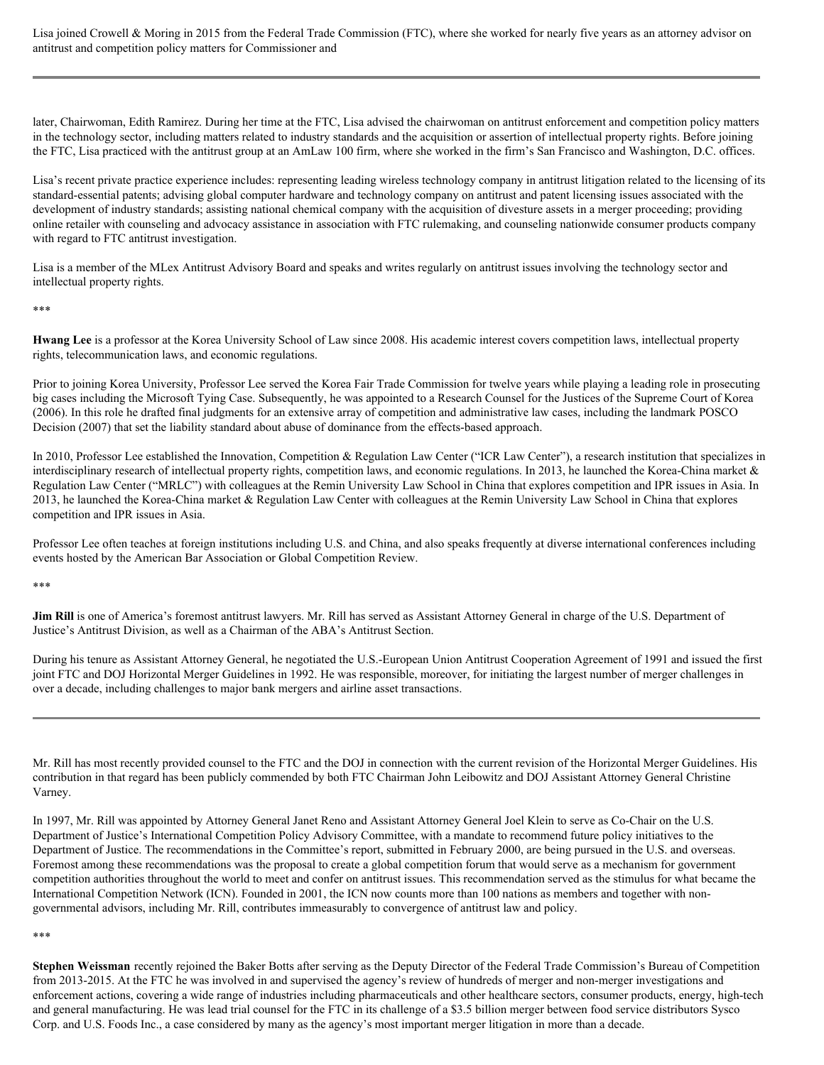Lisa joined Crowell & Moring in 2015 from the Federal Trade Commission (FTC), where she worked for nearly five years as an attorney advisor on antitrust and competition policy matters for Commissioner and

later, Chairwoman, Edith Ramirez. During her time at the FTC, Lisa advised the chairwoman on antitrust enforcement and competition policy matters in the technology sector, including matters related to industry standards and the acquisition or assertion of intellectual property rights. Before joining the FTC, Lisa practiced with the antitrust group at an AmLaw 100 firm, where she worked in the firm's San Francisco and Washington, D.C. offices.

Lisa's recent private practice experience includes: representing leading wireless technology company in antitrust litigation related to the licensing of its standard-essential patents; advising global computer hardware and technology company on antitrust and patent licensing issues associated with the development of industry standards; assisting national chemical company with the acquisition of divesture assets in a merger proceeding; providing online retailer with counseling and advocacy assistance in association with FTC rulemaking, and counseling nationwide consumer products company with regard to FTC antitrust investigation.

Lisa is a member of the MLex Antitrust Advisory Board and speaks and writes regularly on antitrust issues involving the technology sector and intellectual property rights.

\*\*\*

**Hwang Lee** is a professor at the Korea University School of Law since 2008. His academic interest covers competition laws, intellectual property rights, telecommunication laws, and economic regulations.

Prior to joining Korea University, Professor Lee served the Korea Fair Trade Commission for twelve years while playing a leading role in prosecuting big cases including the Microsoft Tying Case. Subsequently, he was appointed to a Research Counsel for the Justices of the Supreme Court of Korea (2006). In this role he drafted final judgments for an extensive array of competition and administrative law cases, including the landmark POSCO Decision (2007) that set the liability standard about abuse of dominance from the effects-based approach.

In 2010, Professor Lee established the Innovation, Competition & Regulation Law Center ("ICR Law Center"), a research institution that specializes in interdisciplinary research of intellectual property rights, competition laws, and economic regulations. In 2013, he launched the Korea-China market & Regulation Law Center ("MRLC") with colleagues at the Remin University Law School in China that explores competition and IPR issues in Asia. In 2013, he launched the Korea-China market & Regulation Law Center with colleagues at the Remin University Law School in China that explores competition and IPR issues in Asia.

Professor Lee often teaches at foreign institutions including U.S. and China, and also speaks frequently at diverse international conferences including events hosted by the American Bar Association or Global Competition Review.

\*\*\*

**Jim Rill** is one of America's foremost antitrust lawyers. Mr. Rill has served as Assistant Attorney General in charge of the U.S. Department of Justice's Antitrust Division, as well as a Chairman of the ABA's Antitrust Section.

During his tenure as Assistant Attorney General, he negotiated the U.S.-European Union Antitrust Cooperation Agreement of 1991 and issued the first joint FTC and DOJ Horizontal Merger Guidelines in 1992. He was responsible, moreover, for initiating the largest number of merger challenges in over a decade, including challenges to major bank mergers and airline asset transactions.

Mr. Rill has most recently provided counsel to the FTC and the DOJ in connection with the current revision of the Horizontal Merger Guidelines. His contribution in that regard has been publicly commended by both FTC Chairman John Leibowitz and DOJ Assistant Attorney General Christine Varney.

In 1997, Mr. Rill was appointed by Attorney General Janet Reno and Assistant Attorney General Joel Klein to serve as Co-Chair on the U.S. Department of Justice's International Competition Policy Advisory Committee, with a mandate to recommend future policy initiatives to the Department of Justice. The recommendations in the Committee's report, submitted in February 2000, are being pursued in the U.S. and overseas. Foremost among these recommendations was the proposal to create a global competition forum that would serve as a mechanism for government competition authorities throughout the world to meet and confer on antitrust issues. This recommendation served as the stimulus for what became the International Competition Network (ICN). Founded in 2001, the ICN now counts more than 100 nations as members and together with nongovernmental advisors, including Mr. Rill, contributes immeasurably to convergence of antitrust law and policy.

\*\*\*

**Stephen Weissman** recently rejoined the Baker Botts after serving as the Deputy Director of the Federal Trade Commission's Bureau of Competition from 2013-2015. At the FTC he was involved in and supervised the agency's review of hundreds of merger and non-merger investigations and enforcement actions, covering a wide range of industries including pharmaceuticals and other healthcare sectors, consumer products, energy, high-tech and general manufacturing. He was lead trial counsel for the FTC in its challenge of a \$3.5 billion merger between food service distributors Sysco Corp. and U.S. Foods Inc., a case considered by many as the agency's most important merger litigation in more than a decade.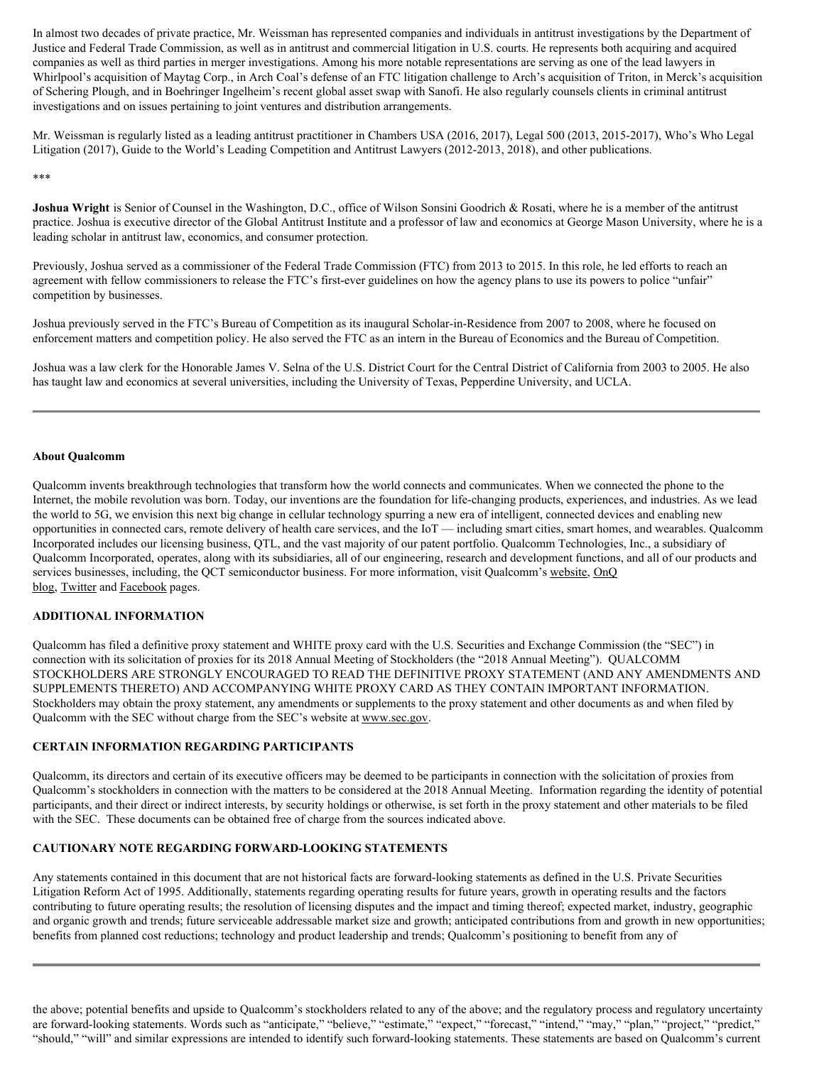In almost two decades of private practice, Mr. Weissman has represented companies and individuals in antitrust investigations by the Department of Justice and Federal Trade Commission, as well as in antitrust and commercial litigation in U.S. courts. He represents both acquiring and acquired companies as well as third parties in merger investigations. Among his more notable representations are serving as one of the lead lawyers in Whirlpool's acquisition of Maytag Corp., in Arch Coal's defense of an FTC litigation challenge to Arch's acquisition of Triton, in Merck's acquisition of Schering Plough, and in Boehringer Ingelheim's recent global asset swap with Sanofi. He also regularly counsels clients in criminal antitrust investigations and on issues pertaining to joint ventures and distribution arrangements.

Mr. Weissman is regularly listed as a leading antitrust practitioner in Chambers USA (2016, 2017), Legal 500 (2013, 2015-2017), Who's Who Legal Litigation (2017), Guide to the World's Leading Competition and Antitrust Lawyers (2012-2013, 2018), and other publications.

\*\*\*

**Joshua Wright** is Senior of Counsel in the Washington, D.C., office of Wilson Sonsini Goodrich & Rosati, where he is a member of the antitrust practice. Joshua is executive director of the Global Antitrust Institute and a professor of law and economics at George Mason University, where he is a leading scholar in antitrust law, economics, and consumer protection.

Previously, Joshua served as a commissioner of the Federal Trade Commission (FTC) from 2013 to 2015. In this role, he led efforts to reach an agreement with fellow commissioners to release the FTC's first-ever guidelines on how the agency plans to use its powers to police "unfair" competition by businesses.

Joshua previously served in the FTC's Bureau of Competition as its inaugural Scholar-in-Residence from 2007 to 2008, where he focused on enforcement matters and competition policy. He also served the FTC as an intern in the Bureau of Economics and the Bureau of Competition.

Joshua was a law clerk for the Honorable James V. Selna of the U.S. District Court for the Central District of California from 2003 to 2005. He also has taught law and economics at several universities, including the University of Texas, Pepperdine University, and UCLA.

## **About Qualcomm**

Qualcomm invents breakthrough technologies that transform how the world connects and communicates. When we connected the phone to the Internet, the mobile revolution was born. Today, our inventions are the foundation for life-changing products, experiences, and industries. As we lead the world to 5G, we envision this next big change in cellular technology spurring a new era of intelligent, connected devices and enabling new opportunities in connected cars, remote delivery of health care services, and the IoT — including smart cities, smart homes, and wearables. Qualcomm Incorporated includes our licensing business, QTL, and the vast majority of our patent portfolio. Qualcomm Technologies, Inc., a subsidiary of Qualcomm Incorporated, operates, along with its subsidiaries, all of our engineering, research and development functions, and all of our products and services businesses, including, the QCT semiconductor business. For more information, visit Qualcomm's website, OnQ blog, Twitter and Facebook pages.

# **ADDITIONAL INFORMATION**

Qualcomm has filed a definitive proxy statement and WHITE proxy card with the U.S. Securities and Exchange Commission (the "SEC") in connection with its solicitation of proxies for its 2018 Annual Meeting of Stockholders (the "2018 Annual Meeting"). QUALCOMM STOCKHOLDERS ARE STRONGLY ENCOURAGED TO READ THE DEFINITIVE PROXY STATEMENT (AND ANY AMENDMENTS AND SUPPLEMENTS THERETO) AND ACCOMPANYING WHITE PROXY CARD AS THEY CONTAIN IMPORTANT INFORMATION. Stockholders may obtain the proxy statement, any amendments or supplements to the proxy statement and other documents as and when filed by Qualcomm with the SEC without charge from the SEC's website at www.sec.gov.

# **CERTAIN INFORMATION REGARDING PARTICIPANTS**

Qualcomm, its directors and certain of its executive officers may be deemed to be participants in connection with the solicitation of proxies from Qualcomm's stockholders in connection with the matters to be considered at the 2018 Annual Meeting. Information regarding the identity of potential participants, and their direct or indirect interests, by security holdings or otherwise, is set forth in the proxy statement and other materials to be filed with the SEC. These documents can be obtained free of charge from the sources indicated above.

# **CAUTIONARY NOTE REGARDING FORWARD-LOOKING STATEMENTS**

Any statements contained in this document that are not historical facts are forward-looking statements as defined in the U.S. Private Securities Litigation Reform Act of 1995. Additionally, statements regarding operating results for future years, growth in operating results and the factors contributing to future operating results; the resolution of licensing disputes and the impact and timing thereof; expected market, industry, geographic and organic growth and trends; future serviceable addressable market size and growth; anticipated contributions from and growth in new opportunities; benefits from planned cost reductions; technology and product leadership and trends; Qualcomm's positioning to benefit from any of

the above; potential benefits and upside to Qualcomm's stockholders related to any of the above; and the regulatory process and regulatory uncertainty are forward-looking statements. Words such as "anticipate," "believe," "estimate," "expect," "forecast," "intend," "may," "plan," "project," "predict," "should," "will" and similar expressions are intended to identify such forward-looking statements. These statements are based on Qualcomm's current